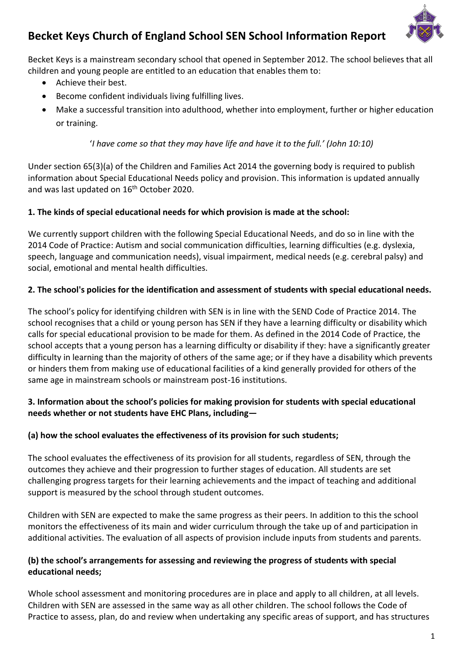# **Becket Keys Church of England School SEN School Information Report**

Becket Keys is a mainstream secondary school that opened in September 2012. The school believes that all children and young people are entitled to an education that enables them to:

- Achieve their best.
- Become confident individuals living fulfilling lives.
- Make a successful transition into adulthood, whether into employment, further or higher education or training.

'*I have come so that they may have life and have it to the full.' (John 10:10)*

Under section 65(3)(a) of the Children and Families Act 2014 the governing body is required to publish information about Special Educational Needs policy and provision. This information is updated annually and was last updated on 16<sup>th</sup> October 2020.

#### **1. The kinds of special educational needs for which provision is made at the school:**

We currently support children with the following Special Educational Needs, and do so in line with the 2014 Code of Practice: Autism and social communication difficulties, learning difficulties (e.g. dyslexia, speech, language and communication needs), visual impairment, medical needs (e.g. cerebral palsy) and social, emotional and mental health difficulties.

#### **2. The school's policies for the identification and assessment of students with special educational needs.**

The school's policy for identifying children with SEN is in line with the SEND Code of Practice 2014. The school recognises that a child or young person has SEN if they have a learning difficulty or disability which calls for special educational provision to be made for them. As defined in the 2014 Code of Practice, the school accepts that a young person has a learning difficulty or disability if they: have a significantly greater difficulty in learning than the majority of others of the same age; or if they have a disability which prevents or hinders them from making use of educational facilities of a kind generally provided for others of the same age in mainstream schools or mainstream post-16 institutions.

#### **3. Information about the school's policies for making provision for students with special educational needs whether or not students have EHC Plans, including—**

#### **(a) how the school evaluates the effectiveness of its provision for such students;**

The school evaluates the effectiveness of its provision for all students, regardless of SEN, through the outcomes they achieve and their progression to further stages of education. All students are set challenging progress targets for their learning achievements and the impact of teaching and additional support is measured by the school through student outcomes.

Children with SEN are expected to make the same progress as their peers. In addition to this the school monitors the effectiveness of its main and wider curriculum through the take up of and participation in additional activities. The evaluation of all aspects of provision include inputs from students and parents.

#### **(b) the school's arrangements for assessing and reviewing the progress of students with special educational needs;**

Whole school assessment and monitoring procedures are in place and apply to all children, at all levels. Children with SEN are assessed in the same way as all other children. The school follows the Code of Practice to assess, plan, do and review when undertaking any specific areas of support, and has structures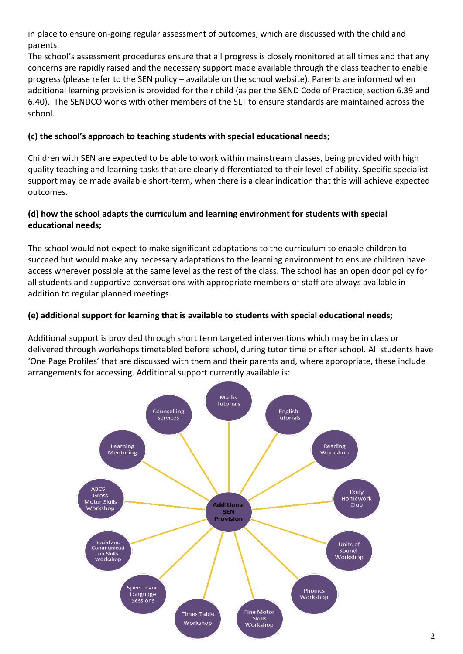in place to ensure on-going regular assessment of outcomes, which are discussed with the child and parents.

The school's assessment procedures ensure that all progress is closely monitored at all times and that any concerns are rapidly raised and the necessary support made available through the class teacher to enable progress (please refer to the SEN policy – available on the school website). Parents are informed when additional learning provision is provided for their child (as per the SEND Code of Practice, section 6.39 and 6.40). The SENDCO works with other members of the SLT to ensure standards are maintained across the school.

### **(c) the school's approach to teaching students with special educational needs;**

Children with SEN are expected to be able to work within mainstream classes, being provided with high quality teaching and learning tasks that are clearly differentiated to their level of ability. Specific specialist support may be made available short-term, when there is a clear indication that this will achieve expected outcomes.

## **(d) how the school adapts the curriculum and learning environment for students with special educational needs;**

The school would not expect to make significant adaptations to the curriculum to enable children to succeed but would make any necessary adaptations to the learning environment to ensure children have access wherever possible at the same level as the rest of the class. The school has an open door policy for all students and supportive conversations with appropriate members of staff are always available in addition to regular planned meetings.

# **(e) additional support for learning that is available to students with special educational needs;**

Additional support is provided through short term targeted interventions which may be in class or delivered through workshops timetabled before school, during tutor time or after school. All students have 'One Page Profiles' that are discussed with them and their parents and, where appropriate, these include arrangements for accessing. Additional support currently available is:

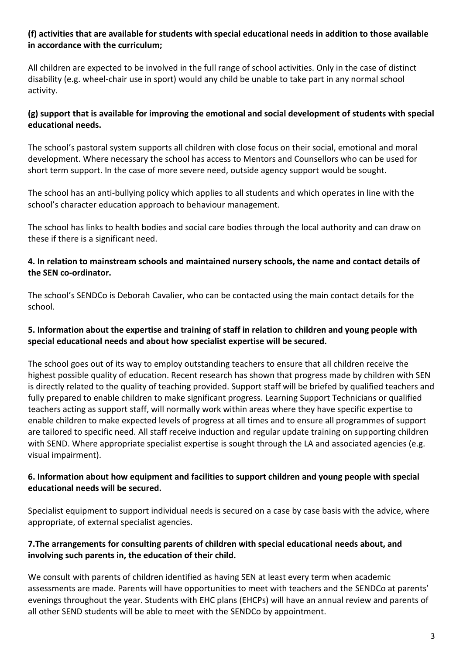#### **(f) activities that are available for students with special educational needs in addition to those available in accordance with the curriculum;**

All children are expected to be involved in the full range of school activities. Only in the case of distinct disability (e.g. wheel-chair use in sport) would any child be unable to take part in any normal school activity.

### **(g) support that is available for improving the emotional and social development of students with special educational needs.**

The school's pastoral system supports all children with close focus on their social, emotional and moral development. Where necessary the school has access to Mentors and Counsellors who can be used for short term support. In the case of more severe need, outside agency support would be sought.

The school has an anti-bullying policy which applies to all students and which operates in line with the school's character education approach to behaviour management.

The school has links to health bodies and social care bodies through the local authority and can draw on these if there is a significant need.

#### **4. In relation to mainstream schools and maintained nursery schools, the name and contact details of the SEN co-ordinator.**

The school's SENDCo is Deborah Cavalier, who can be contacted using the main contact details for the school.

#### **5. Information about the expertise and training of staff in relation to children and young people with special educational needs and about how specialist expertise will be secured.**

The school goes out of its way to employ outstanding teachers to ensure that all children receive the highest possible quality of education. Recent research has shown that progress made by children with SEN is directly related to the quality of teaching provided. Support staff will be briefed by qualified teachers and fully prepared to enable children to make significant progress. Learning Support Technicians or qualified teachers acting as support staff, will normally work within areas where they have specific expertise to enable children to make expected levels of progress at all times and to ensure all programmes of support are tailored to specific need. All staff receive induction and regular update training on supporting children with SEND. Where appropriate specialist expertise is sought through the LA and associated agencies (e.g. visual impairment).

#### **6. Information about how equipment and facilities to support children and young people with special educational needs will be secured.**

Specialist equipment to support individual needs is secured on a case by case basis with the advice, where appropriate, of external specialist agencies.

#### **7.The arrangements for consulting parents of children with special educational needs about, and involving such parents in, the education of their child.**

We consult with parents of children identified as having SEN at least every term when academic assessments are made. Parents will have opportunities to meet with teachers and the SENDCo at parents' evenings throughout the year. Students with EHC plans (EHCPs) will have an annual review and parents of all other SEND students will be able to meet with the SENDCo by appointment.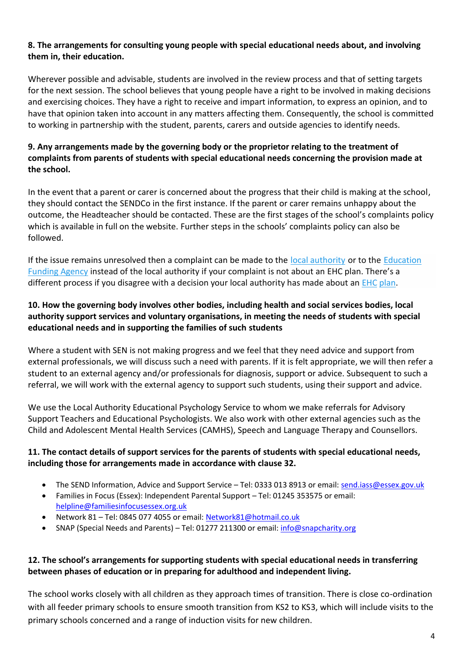#### **8. The arrangements for consulting young people with special educational needs about, and involving them in, their education.**

Wherever possible and advisable, students are involved in the review process and that of setting targets for the next session. The school believes that young people have a right to be involved in making decisions and exercising choices. They have a right to receive and impart information, to express an opinion, and to have that opinion taken into account in any matters affecting them. Consequently, the school is committed to working in partnership with the student, parents, carers and outside agencies to identify needs.

#### **9. Any arrangements made by the governing body or the proprietor relating to the treatment of complaints from parents of students with special educational needs concerning the provision made at the school.**

In the event that a parent or carer is concerned about the progress that their child is making at the school, they should contact the SENDCo in the first instance. If the parent or carer remains unhappy about the outcome, the Headteacher should be contacted. These are the first stages of the school's complaints policy which is available in full on the website. Further steps in the schools' complaints policy can also be followed.

If the issue remains unresolved then a complaint can be made to the [local authority](https://www.gov.uk/find-local-council) or to the [Education](https://form.education.gov.uk/fillform.php?self=1&form_id=cCCNJ1xSfBE&type=form&ShowMsg=1&form_name=Contact+the+Department+for+Education&noRegister=false&ret=%2Fmodule%2Fservices&noLoginPrompt=1)  [Funding Agency](https://form.education.gov.uk/fillform.php?self=1&form_id=cCCNJ1xSfBE&type=form&ShowMsg=1&form_name=Contact+the+Department+for+Education&noRegister=false&ret=%2Fmodule%2Fservices&noLoginPrompt=1) instead of the local authority if your complaint is not about an EHC plan. There's a different process if you disagree with a decision your local authority has made about an  $EHC$  [plan.](https://www.gov.uk/appeal-ehc-plan-decision)

#### **10. How the governing body involves other bodies, including health and social services bodies, local authority support services and voluntary organisations, in meeting the needs of students with special educational needs and in supporting the families of such students**

Where a student with SEN is not making progress and we feel that they need advice and support from external professionals, we will discuss such a need with parents. If it is felt appropriate, we will then refer a student to an external agency and/or professionals for diagnosis, support or advice. Subsequent to such a referral, we will work with the external agency to support such students, using their support and advice.

We use the Local Authority Educational Psychology Service to whom we make referrals for Advisory Support Teachers and Educational Psychologists. We also work with other external agencies such as the Child and Adolescent Mental Health Services (CAMHS), Speech and Language Therapy and Counsellors.

#### **11. The contact details of support services for the parents of students with special educational needs, including those for arrangements made in accordance with clause 32.**

- The SEND Information, Advice and Support Service Tel: 0333 013 8913 or email[: send.iass@essex.gov.uk](mailto:send.iass@essex.gov.uk)
- Families in Focus (Essex): Independent Parental Support Tel: 01245 353575 or email: [helpline@familiesinfocusessex.org.uk](mailto:helpline@familiesinfocusessex.org.uk)
- Network 81 [Tel: 0845](tel:0845) 077 4055 or email[: Network81@hotmail.co.uk](mailto:Network81@hotmail.co.uk)
- SNAP (Special Needs and Parents) Tel: 01277 211300 or email[: info@snapcharity.org](mailto:info@snapcharity.org)

#### **12. The school's arrangements for supporting students with special educational needs in transferring between phases of education or in preparing for adulthood and independent living.**

The school works closely with all children as they approach times of transition. There is close co-ordination with all feeder primary schools to ensure smooth transition from KS2 to KS3, which will include visits to the primary schools concerned and a range of induction visits for new children.